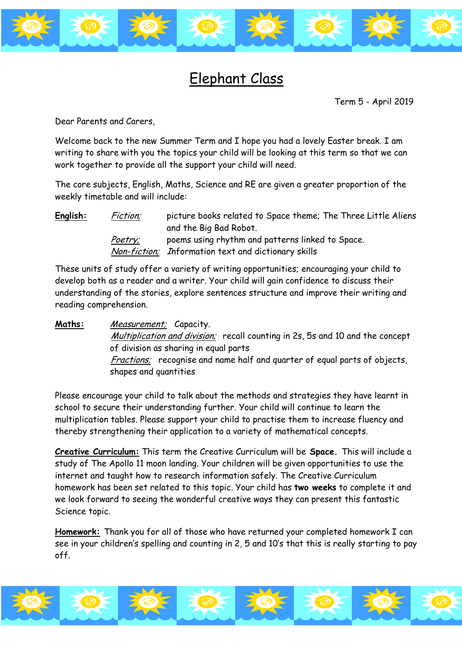

## Elephant Class

Term 5 - April 2019

Dear Parents and Carers,

Welcome back to the new Summer Term and I hope you had a lovely Easter break. I am writing to share with you the topics your child will be looking at this term so that we can work together to provide all the support your child will need.

The core subjects, English, Maths, Science and RE are given a greater proportion of the weekly timetable and will include:

**English:** Fiction; picture books related to Space theme; The Three Little Aliens and the Big Bad Robot. Poetry; poems using rhythm and patterns linked to Space. Non-fiction; Information text and dictionary skills

These units of study offer a variety of writing opportunities; encouraging your child to develop both as a reader and a writer. Your child will gain confidence to discuss their understanding of the stories, explore sentences structure and improve their writing and reading comprehension.

**Maths:** Measurement; Capacity. Multiplication and division; recall counting in 2s, 5s and 10 and the concept of division as sharing in equal parts Fractions; recognise and name half and quarter of equal parts of objects, shapes and quantities

Please encourage your child to talk about the methods and strategies they have learnt in school to secure their understanding further. Your child will continue to learn the multiplication tables. Please support your child to practise them to increase fluency and thereby strengthening their application to a variety of mathematical concepts.

**Creative Curriculum:** This term the Creative Curriculum will be **Space.** This will include a study of The Apollo 11 moon landing. Your children will be given opportunities to use the internet and taught how to research information safely. The Creative Curriculum homework has been set related to this topic. Your child has **two weeks** to complete it and we look forward to seeing the wonderful creative ways they can present this fantastic Science topic.

**Homework:** Thank you for all of those who have returned your completed homework I can see in your children's spelling and counting in 2, 5 and 10's that this is really starting to pay off.